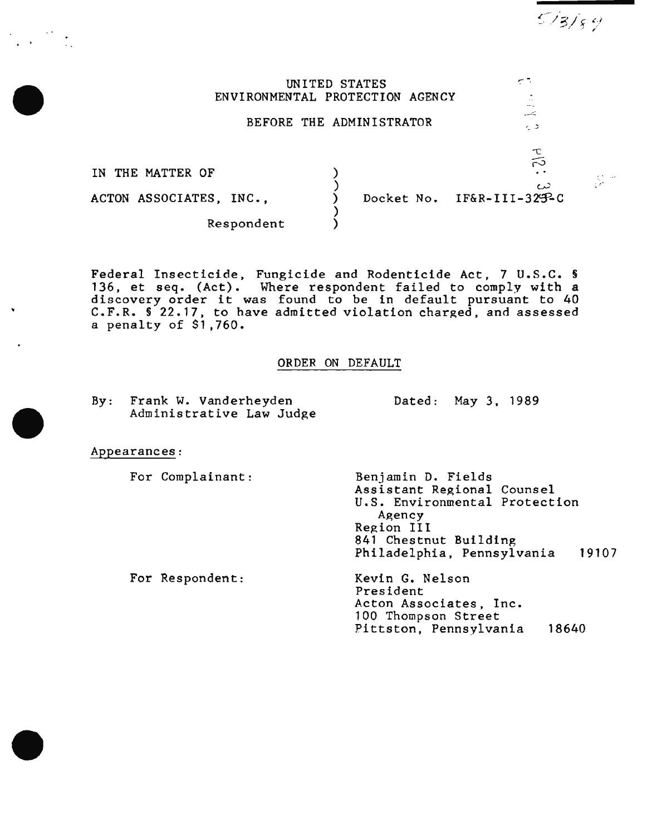# UNITED STATES ENVIRONMENTAL PROTECTION AGENCY

# BEFORE THE ADMINISTRATOR

| IN THE MATTER OF        |  | $\cdot$ $\cdot$                   |
|-------------------------|--|-----------------------------------|
| ACTON ASSOCIATES, INC., |  | حده<br>Docket No. IF&R-III-3292-C |
| Respondent              |  |                                   |
|                         |  |                                   |

Federal Insecticide, Fungicide and Rodenticide Act, 7 U.S.C. § 136, et seq. (Act). Where respondent failed to comply with a discovery order it was found to be in default pursuant to 40 C.F.R. § 22.17, to have admitted violation charged, and assessed a penalty of \$1,760.

## ORDER ON DEFAULT

By: Frank W. Vanderheyden Administrative Law Judge

Dated: May 3, 1989

## Appearances:

For Complainant:

Benjamin D. Fields Assistant Regional Counsel U.S. Environmental Protection Agency Region III 841 Chestnut Building Philadelphia, Pennsylvania 19107

For Respondent: Kevin G. Nelson President Acton Associates, Inc. 100 Thompson Street Pittston, Pennsylvania 18640

 $E/3/89$ 

. ,-

 $\epsilon_{\rm e}$   $>$ 

 $\mathcal{L}$ 

التي سيم  $\tilde{\mathbb{Z}}$ التأسد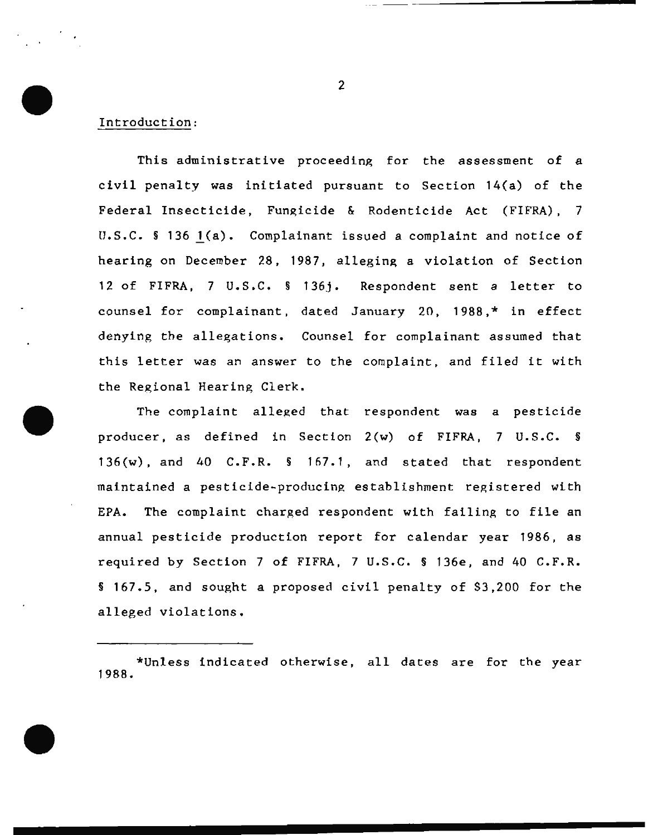# Introduction:

This administrative proceeding for the assessment of a civil penalty was initiated pursuant to Section 14(a) of the Federal Insecticide, Fungicide & Rodenticide Act (FIFRA), 7 U.S.C. § 136 1(a). Complainant issued a complaint and notice of hearing on December 28, 1987, alleging a violation of Section 12 of FIFRA, 7 U.S.C. § 136j. Respondent sent a letter to counsel for complainant, dated January 20. 1988, \* in effect denying the allegations. Counsel for complainant assumed that this letter was an answer to the complaint, and filed it with the Regional Hearing Clerk.

The complaint alleged that respondent was a pesticide producer, as defined in Section 2(w) of FIFRA, 7 U.S.C. § 136 $(w)$ , and 40 C.F.R. § 167.1, and stated that respondent maintained a pesticide-producing establishment registered with EPA. The complaint charged respondent with failing to file an annual pesticide production report for calendar year 1986, as required by Section 7 of FIFRA, 7 u.s.c. § 136e, and 40 C.F.R. § 167.5, and sought a proposed civil penalty of \$3,200 for the alleged violations.

<sup>\*</sup>Unless indicated otherwise, all dates are for the year 1988.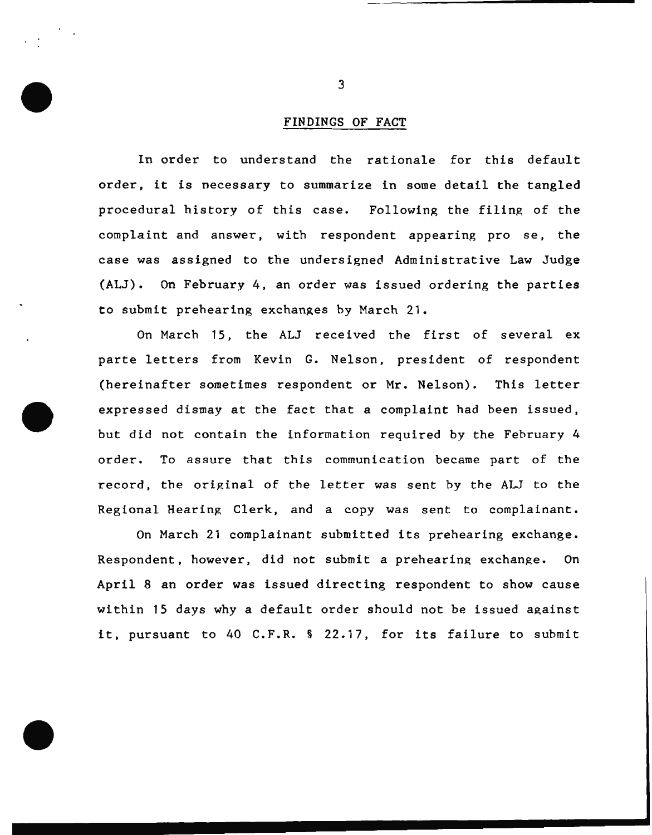## FINDINGS OF FACT

In order to understand the rationale for this default order, it is necessary to summarize in some detail the tangled procedural history of this case. Following the filing of the complaint and answer, with respondent appearing pro se, the case was assigned to the undersigned Administrative Law Judge (ALJ). On February 4, an order was issued ordering the parties to submit prehearing exchanges by March 21.

On March 15, the ALJ received the first of several ex parte letters from Kevin G. Nelson, president of respondent (hereinafter sometimes respondent or Mr. Nelson). This letter expressed dismay at the fact that a complaint had been issued, but did not contain the information required by the February 4 order. To assure that this communication became part of the record, the original of the letter was sent by the ALJ to the Regional Hearing Clerk, and a copy was sent to complainant.

On March 21 complainant submitted its prehearing exchange. Respondent, however, did not submit a prehearing exchange. On April 8 an order was issued directing respondent to show cause within 15 days why a default order should not be issued against it, pursuant to 40 C.F.R. § 22.17, for its failure to submit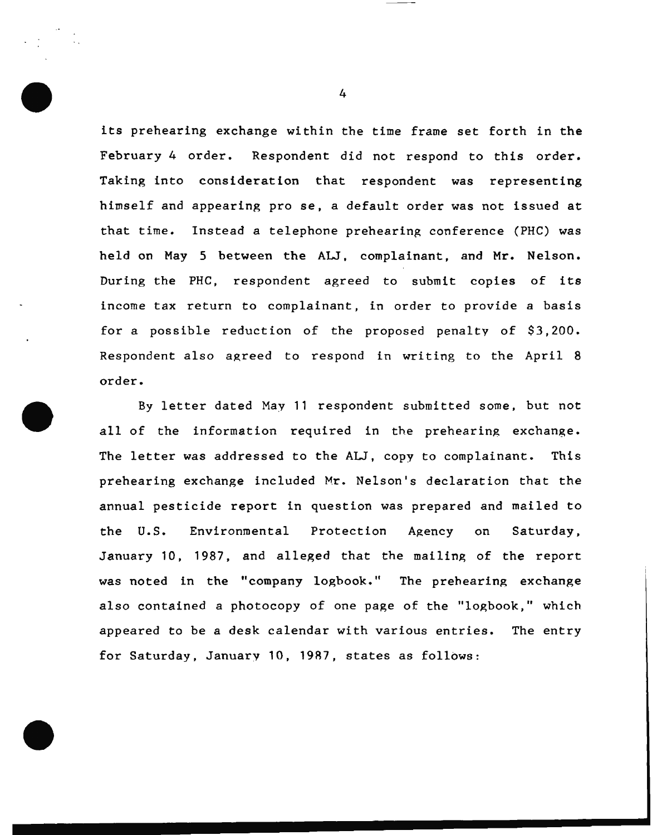its prehearing exchange within the time frame set forth in the February 4 order. Respondent did not respond to this order. Taking into consideration that respondent was representing himself and appearing pro se, a default order was not issued at that time. Instead a telephone prehearing conference (PHC) was held on May 5 between the ALJ, complainant, and Mr. Nelson. During the PHC, respondent agreed to submit copies of its income tax return to complainant, in order to provide a basis for a possible reduction of the proposed penalty of \$3,200. Respondent also agreed to respond in writing to the April 8 order.

By letter dated May 11 respondent submitted some, but not all of the information required in the prehearing exchange. The letter was addressed to the ALJ, copy to complainant. This prehearing exchange included Mr. Nelson's declaration that the annual pesticide report in question was prepared and mailed to the U.S. Environmental Protection Agency on Saturday, January 10, 1987, and alleged that the mailing of the report was noted in the "company logbook." The prehearing exchange also contained a photocopy of one page of the "logbook," which appeared to be a desk calendar with various entries. The entry for Saturday, January 10, 19R7, states as follows: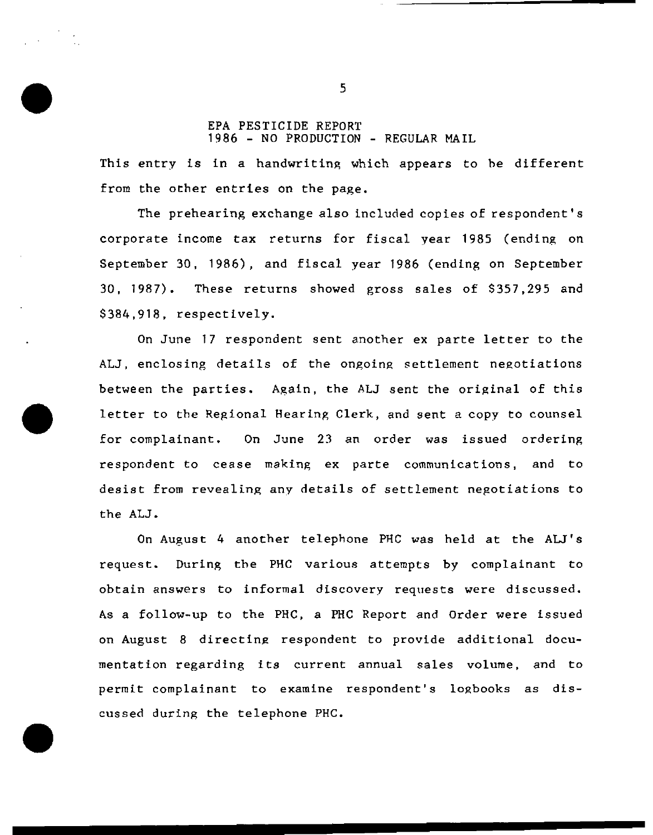## EPA PESTICIDE REPORT 1986 - NO PRODUCTION - REGULAR MAIL

This entry is in a handwriting which appears to be different from the other entries on the page.

The prehearing exchange also included copies of respondent's corporate income tax returns for fiscal year 1985 (ending on September 30, 1986), and fiscal year 1986 (ending on September 30, 1987). These returns showed gross sales of \$357,295 and \$384,918, respectively.

On June 17 respondent sent another ex parte letter to the ALJ, enclosing details of the ongoing settlement negotiations between the parties. Again, the ALJ sent the original of this letter to the Regional Hearing Clerk, and sent a copy to counsel for complainant. On June 23 an order was issued ordering respondent to cease making ex parte communications, and to desist from revealing any details of settlement negotiations to the ALJ.

On August 4 another telephone PHC was held at the ALJ's request. During the PHC various attempts by complainant to obtain answers to informal discovery requests were discussed. As a follow-up to the PHC, a PHC Report and Order were issued on August 8 directing respondent to provide additional documentation regarding its current annual sales volume, and to permit complainant to examine respondent's logbooks as discussed during the telephone PHC.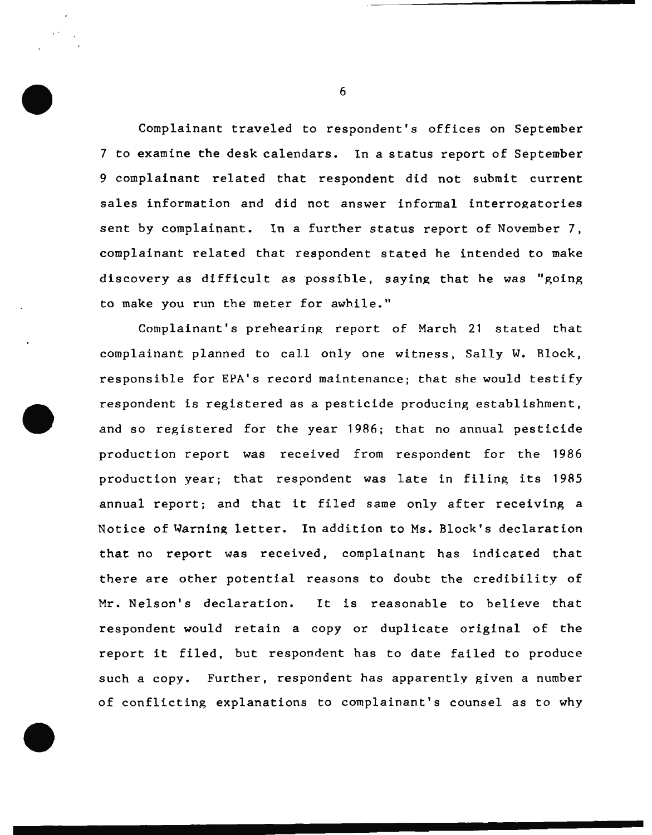Complainant traveled to respondent's offices on September 7 to examine the desk calendars. In a status report of September 9 complainant related that respondent did not submit current sales information and did not answer informal interrogatories sent by complainant. In a further status report of November 7, complainant related that respondent stated he intended to make discovery as difficult as possible, saying that he was "going to make you run the meter for awhile."

Complainant's prehearing report of March 21 stated that complainant planned to call only one witness, Sally W. Block, responsible for EPA's record maintenance; that she would testify respondent is registered as a pesticide producing establishment, and so registered for the year 1986; that no annual pesticide production report was received from respondent for the 1986 production year; that respondent was late in filing its 1985 annual report; and that it filed same only after receiving a Notice of Warning letter. In addition to Ms. Block's declaration that no report was received, complainant has indicated that there are other potential reasons to doubt the credibility of Mr. Nelson's declaration. It is reasonable to believe that respondent would retain a copy or duplicate original of the report it filed, but respondent has to date failed to produce such a copy. Further, respondent has apparently given a number of conflicting explanations to complainant's counsel as to why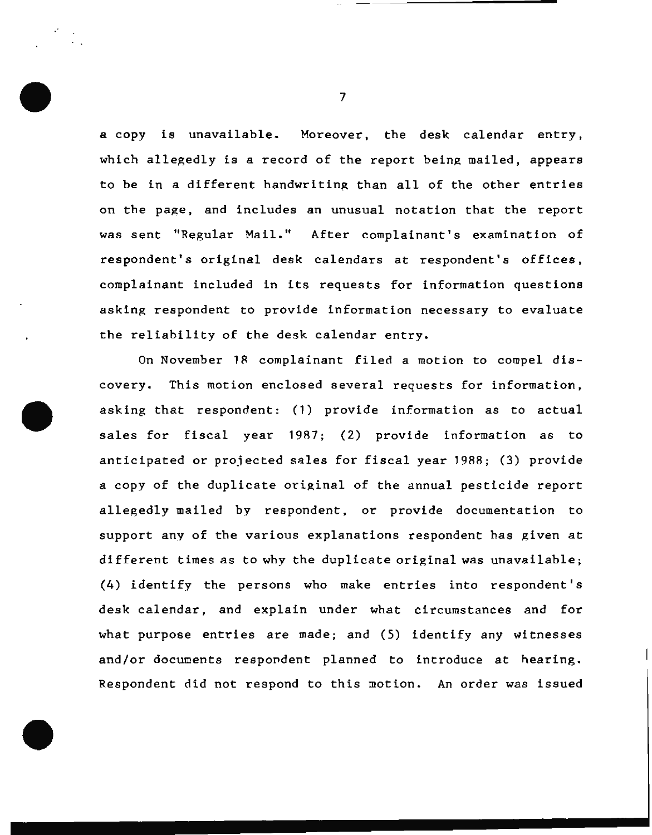a copy is unavailable. Moreover, the desk calendar entry, which allegedly is a record of the report being mailed, appears to be in a different handwriting than all of the other entries on the page, and includes an unusual notation that the report was sent "Regular Mail." After complainant's examination of respondent's original desk calendars at respondent's offices, complainant included in its requests for information questions asking respondent to provide information necessary to evaluate the reliability of the desk calendar entry.

On November 18 complainant filed a motion to compel discovery. This motion enclosed several requests for information, asking that respondent: (1) provide information as to actual sales for fiscal year 19R7; (2) provide information as to anticipated or projected sales for fiscal year 1988; (3) provide a copy of the duplicate original of the annual pesticide report allegedly mailed by respondent, OT provide documentation to support any of the various explanations respondent has given at different times as to why the duplicate original was unavailable; (4) identify the persons who make entries into respondent's desk calendar, and explain under what circumstances and for what purpose entries are made; and (5) identify any witnesses and/or documents respondent planned to introduce at hearing. Respondent did not respond to this motion. An order was issued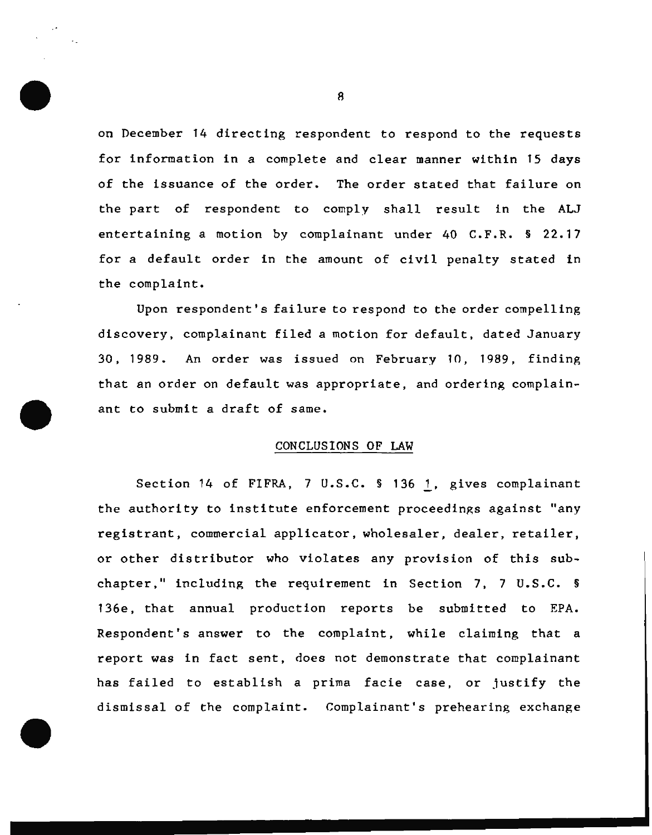on December 14 directing respondent to respond to the requests for information in a complete and clear manner within 15 days of the issuance of the order. The order stated that failure on the part of respondent to comply shall result in the ALJ entertaining a motion by complainant under 40 C.F.R. § 22.17 for a default order in the amount of civil penalty stated in the complaint.

Upon respondent's failure to respond to the order compelling discovery, complainant filed a motion for default, dated January 30, 1989. An order was issued on February 10, 1989, finding that an order on default was appropriate, and ordering complainant to submit a draft of same.

#### CONCLUSIONS OF LAW

Section 14 of FIFRA, 7 U.S.C. § 136 1, gives complainant the authority to institute enforcement proceedings against "any registrant, commercial applicator, wholesaler, dealer, retailer, or other distributor who violates any provision of this subchapter," including the requirement in Section 7, 7 U.S.C. § 136e, that annual production reports be submitted to EPA. Respondent's answer to the complaint, while claiming that a report was in fact sent, does not demonstrate that complainant has failed to establish a prima facie case, or justify the dismissal of the complaint. Complainant's prehearing exchange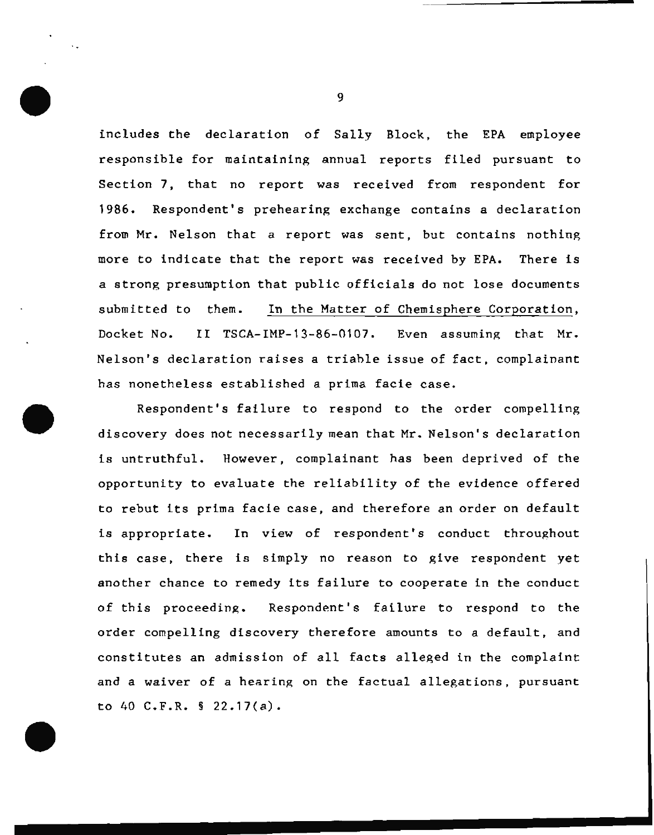includes the declaration of Sally Block, the EPA employee responsible for maintaining annual reports filed pursuant to Section 7, that no report was received from respondent for 1986. Respondent's prehearing exchange contains a declaration from Mr. Nelson that a report was sent, but contains nothing more to indicate that the report was received by EPA. There is a strong presumption that public officials do not lose documents submitted to them. In the Matter of Chemisphere Corporation, Docket No. II TSCA-IMP-13-86-0107. Even assuming that Mr. Nelson's declaration raises a triable issue of fact, complainant has nonetheless established a prima facie case.

Respondent's failure to respond to the order compelling discovery does not necessarily mean that Mr. Nelson's declaration is untruthful. However, complainant has been deprived of the opportunity to evaluate the reliability of the evidence offered to rebut its prima facie case, and therefore an order on default is appropriate. In view of respondent's conduct throughout this case, there is simply no reason to give respondent yet another chance to remedy its failure to cooperate in the conduct of this proceeding. Respondent's failure to respond to the order compelling discovery therefore amounts to a default, and constitutes an admission of all facts alleged in the complaint and a waiver of a hearing on the factual allegations, pursuant to 40 C.F.R. § 22.17(a).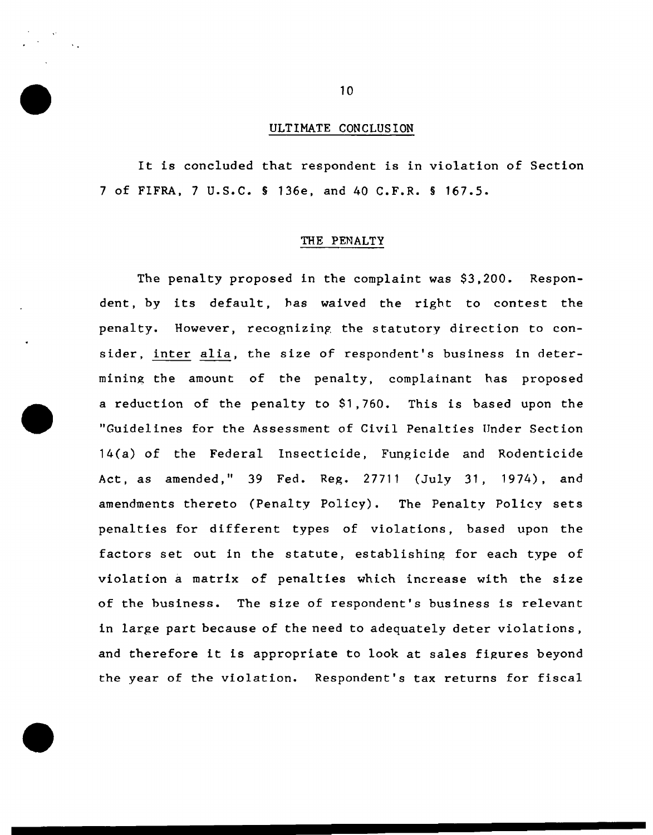#### ULTIMATE CONCLUSION

It is concluded that respondent is in violation of Section 7 of FIFRA, 7 U.S.C. § 136e, and 40 C.F.R. § 167.5.

#### THE PENALTY

The penalty proposed in the complaint was \$3,200. Respondent, by its default, has waived the right to contest the penalty. However, recognizing the statutory direction to consider, inter alia, the size of respondent's business in determining the amount of the penalty, complainant has proposed a reduction of the penalty to \$1,760. This is based upon the "Guidelines for the Assessment of Civil Penalties Under Section 14(a) of the Federal Insecticide, Fungicide and Rodenticide Act, as amended," 39 Fed. Reg. 27711 (July 31, 1974), and amendments thereto (Penalty Policy). The Penalty Policy sets penalties for different types of violations, based upon the factors set out in the statute, establishing for each type of violation a matrix of penalties which increase with the size of the business. The size of respondent's business is relevant in large part because of the need to adequately deter violations, and therefore it is appropriate to look at sales figures beyond the year of the violation. Respondent's tax returns for fiscal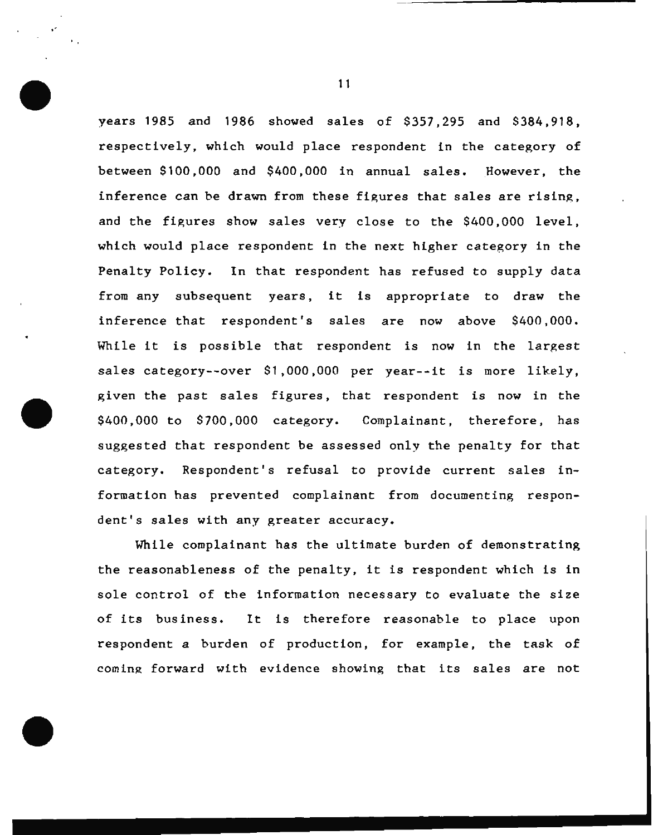years 1985 and 1986 showed sales of \$357,295 and \$384,918, respectively, which would place respondent in the category of between \$100,000 and \$400,000 in annual sales. However, the inference can be drawn from these figures that sales are rising, and the figures show sales very close to the \$400,000 level, which would place respondent in the next higher category in the Penalty Policy. In that respondent has refused to supply data from any subsequent years, it is appropriate to draw the inference that respondent's sales are now above \$400,000. While it is possible that respondent is now in the largest sales category--over \$1,000,000 per year--it is more likely, given the past sales figures, that respondent is now in the \$400,000 to \$700,000 category. Complainant, therefore, has suggested that respondent be assessed only the penalty for that category. Respondent's refusal to provide current sales information has prevented complainant from documenting respondent's sales with any greater accuracy.

While complainant has the ultimate burden of demonstrating the reasonableness of the penalty, it is respondent which is in sole control of the information necessary to evaluate the size of its business. It is therefore reasonable to place upon respondent a burden of production, for example, the task of coming forward with evidence showing that its sales are not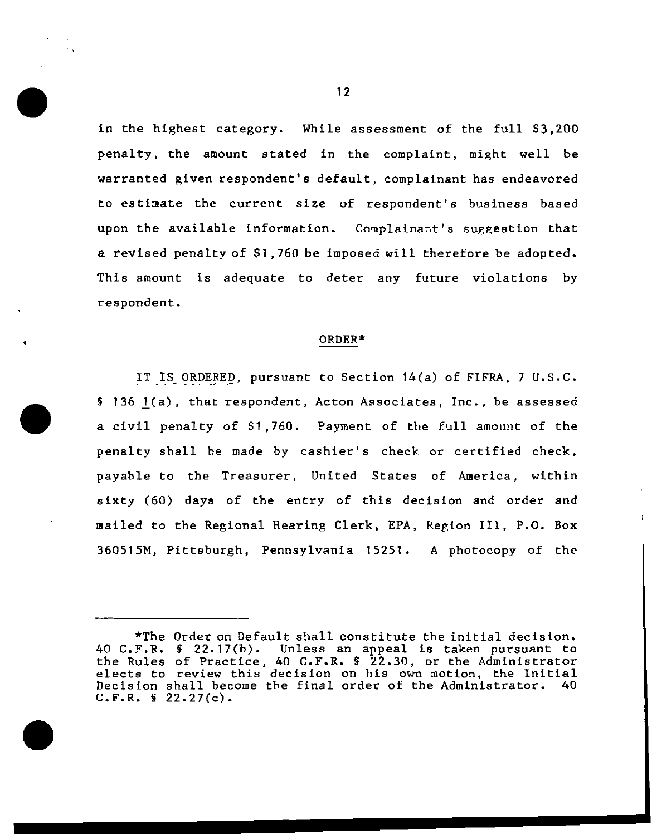in the highest category. While assessment of the full \$3,200 penalty, the amount stated in the complaint. might well be warranted given respondent's default, complainant has endeavored to estimate the current size of respondent's business based upon the available information. Complainant's suggestion that a revised penalty of \$1,760 be imposed will therefore be adopted. This amount is adequate to deter any future violations by respondent.

#### ORDER\*

IT IS ORDERED, pursuant to Section 14(a) of FIFRA, 7 U.S.C. § 136 l(a), that respondent, Acton Associates, Inc., be assessed a civil penalty of \$1,760. Payment of the full amount of the penalty shall he made by cashier's check or certified check, payable to the Treasurer, United States of America, within sixty (60) days of the entry of this decision and order and mailed to the Regional Hearing Clerk, EPA, Region III, P.O. Box 360515M, Pittsburgh, Pennsylvania 15251. A photocopy of the

<sup>\*</sup>The Order on Default shall constitute the initial decision. 40 C.F.R. § 22.17(h). Unless an appeal is taken pursuant to the Rules of Practice, 40 C.F.R. § 22.30, or the Administrator elects to review this decision on his own motion, the Initial Decision shall become the final order of the Administrator. C.F.R. § 22.27(c).